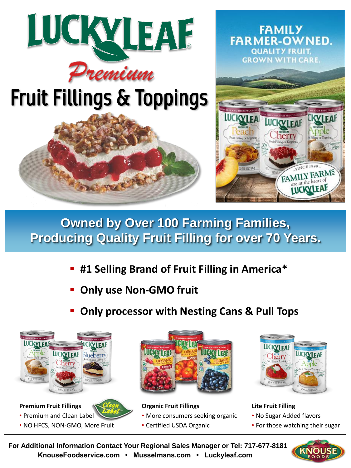

## Fruit Fillings & Toppings





## **Owned by Over 100 Farming Families, Producing Quality Fruit Filling for over 70 Years.**

- **#1 Selling Brand of Fruit Filling in America\***
- **Only use Non-GMO fruit**
- **Only processor with Nesting Cans & Pull Tops**



**Premium Fruit Fillings**



• NO HFCS, NON-GMO, More Fruit



**Organic Fruit Fillings**

- More consumers seeking organic
- Certified USDA Organic



**Lite Fruit Filling**

- No Sugar Added flavors
- For those watching their sugar

**For Additional Information Contact Your Regional Sales Manager or Tel: 717-677-8181 KnouseFoodservice.com • Musselmans.com • Luckyleaf.com**